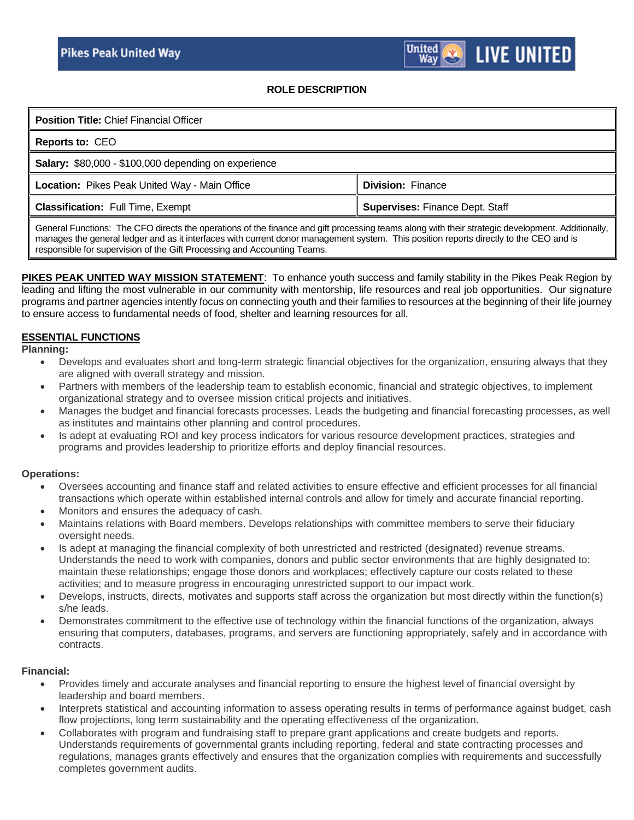## **ROLE DESCRIPTION**

| <b>Position Title: Chief Financial Officer</b>                                                                                                                                                                                                                                                                                                                       |                                                                                                                                                                                                                                   |
|----------------------------------------------------------------------------------------------------------------------------------------------------------------------------------------------------------------------------------------------------------------------------------------------------------------------------------------------------------------------|-----------------------------------------------------------------------------------------------------------------------------------------------------------------------------------------------------------------------------------|
| <b>Reports to: CEO</b>                                                                                                                                                                                                                                                                                                                                               |                                                                                                                                                                                                                                   |
| Salary: \$80,000 - \$100,000 depending on experience                                                                                                                                                                                                                                                                                                                 |                                                                                                                                                                                                                                   |
| Location: Pikes Peak United Way - Main Office                                                                                                                                                                                                                                                                                                                        | <b>Division: Finance</b>                                                                                                                                                                                                          |
| <b>Classification: Full Time, Exempt</b>                                                                                                                                                                                                                                                                                                                             | <b>Supervises: Finance Dept. Staff</b>                                                                                                                                                                                            |
| $\sim$<br>$\mathbf{r} = \mathbf{r}$ , $\mathbf{r} = \mathbf{r}$ , $\mathbf{r} = \mathbf{r}$ , $\mathbf{r} = \mathbf{r}$ , $\mathbf{r} = \mathbf{r}$ , $\mathbf{r} = \mathbf{r}$ , $\mathbf{r} = \mathbf{r}$ , $\mathbf{r} = \mathbf{r}$ , $\mathbf{r} = \mathbf{r}$ , $\mathbf{r} = \mathbf{r}$ , $\mathbf{r} = \mathbf{r}$ , $\mathbf{r} = \mathbf{r}$ , $\mathbf{$ | $\mathbf{r}$ , and the contract of the contract of the contract of the contract of the contract of the contract of the contract of the contract of the contract of the contract of the contract of the contract of the contract o |

General Functions: The CFO directs the operations of the finance and gift processing teams along with their strategic development. Additionally, manages the general ledger and as it interfaces with current donor management system. This position reports directly to the CEO and is responsible for supervision of the Gift Processing and Accounting Teams.

**PIKES PEAK UNITED WAY MISSION STATEMENT**: To enhance youth success and family stability in the Pikes Peak Region by leading and lifting the most vulnerable in our community with mentorship, life resources and real job opportunities. Our signature programs and partner agencies intently focus on connecting youth and their families to resources at the beginning of their life journey to ensure access to fundamental needs of food, shelter and learning resources for all.

## **ESSENTIAL FUNCTIONS**

**Planning:**

- Develops and evaluates short and long-term strategic financial objectives for the organization, ensuring always that they are aligned with overall strategy and mission.
- Partners with members of the leadership team to establish economic, financial and strategic objectives, to implement organizational strategy and to oversee mission critical projects and initiatives.
- Manages the budget and financial forecasts processes. Leads the budgeting and financial forecasting processes, as well as institutes and maintains other planning and control procedures.
- Is adept at evaluating ROI and key process indicators for various resource development practices, strategies and programs and provides leadership to prioritize efforts and deploy financial resources.

#### **Operations:**

- Oversees accounting and finance staff and related activities to ensure effective and efficient processes for all financial transactions which operate within established internal controls and allow for timely and accurate financial reporting.
- Monitors and ensures the adequacy of cash.
- Maintains relations with Board members. Develops relationships with committee members to serve their fiduciary oversight needs.
- Is adept at managing the financial complexity of both unrestricted and restricted (designated) revenue streams. Understands the need to work with companies, donors and public sector environments that are highly designated to: maintain these relationships; engage those donors and workplaces; effectively capture our costs related to these activities; and to measure progress in encouraging unrestricted support to our impact work.
- Develops, instructs, directs, motivates and supports staff across the organization but most directly within the function(s) s/he leads.
- Demonstrates commitment to the effective use of technology within the financial functions of the organization, always ensuring that computers, databases, programs, and servers are functioning appropriately, safely and in accordance with contracts.

## **Financial:**

- Provides timely and accurate analyses and financial reporting to ensure the highest level of financial oversight by leadership and board members.
- Interprets statistical and accounting information to assess operating results in terms of performance against budget, cash flow projections, long term sustainability and the operating effectiveness of the organization.
- Collaborates with program and fundraising staff to prepare grant applications and create budgets and reports. Understands requirements of governmental grants including reporting, federal and state contracting processes and regulations, manages grants effectively and ensures that the organization complies with requirements and successfully completes government audits.